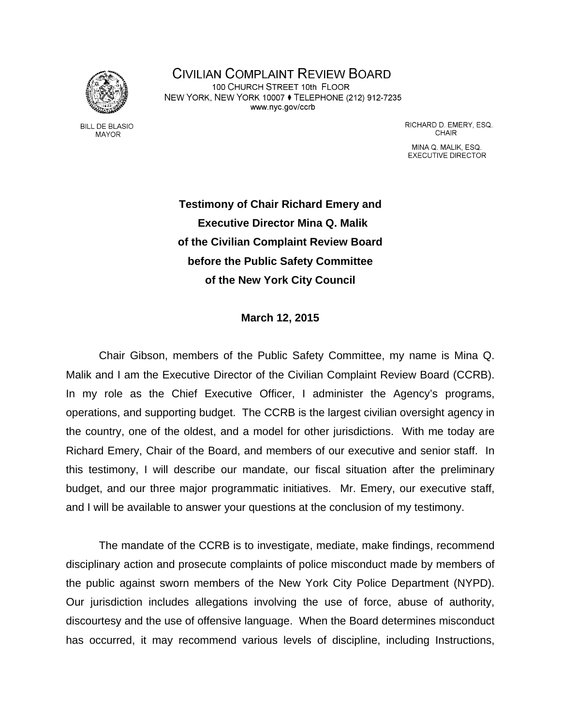

**CIVILIAN COMPLAINT REVIEW BOARD** 100 CHURCH STREET 10th FLOOR NEW YORK, NEW YORK 10007 ♦ TELEPHONE (212) 912-7235 www.nyc.gov/ccrb

**BILL DE BLASIO MAYOR** 

RICHARD D. EMERY, ESQ. **CHAIR** 

MINA Q. MALIK, ESQ. **EXECUTIVE DIRECTOR** 

**Testimony of Chair Richard Emery and Executive Director Mina Q. Malik of the Civilian Complaint Review Board before the Public Safety Committee of the New York City Council** 

## **March 12, 2015**

Chair Gibson, members of the Public Safety Committee, my name is Mina Q. Malik and I am the Executive Director of the Civilian Complaint Review Board (CCRB). In my role as the Chief Executive Officer, I administer the Agency's programs, operations, and supporting budget. The CCRB is the largest civilian oversight agency in the country, one of the oldest, and a model for other jurisdictions. With me today are Richard Emery, Chair of the Board, and members of our executive and senior staff. In this testimony, I will describe our mandate, our fiscal situation after the preliminary budget, and our three major programmatic initiatives. Mr. Emery, our executive staff, and I will be available to answer your questions at the conclusion of my testimony.

The mandate of the CCRB is to investigate, mediate, make findings, recommend disciplinary action and prosecute complaints of police misconduct made by members of the public against sworn members of the New York City Police Department (NYPD). Our jurisdiction includes allegations involving the use of force, abuse of authority, discourtesy and the use of offensive language. When the Board determines misconduct has occurred, it may recommend various levels of discipline, including Instructions,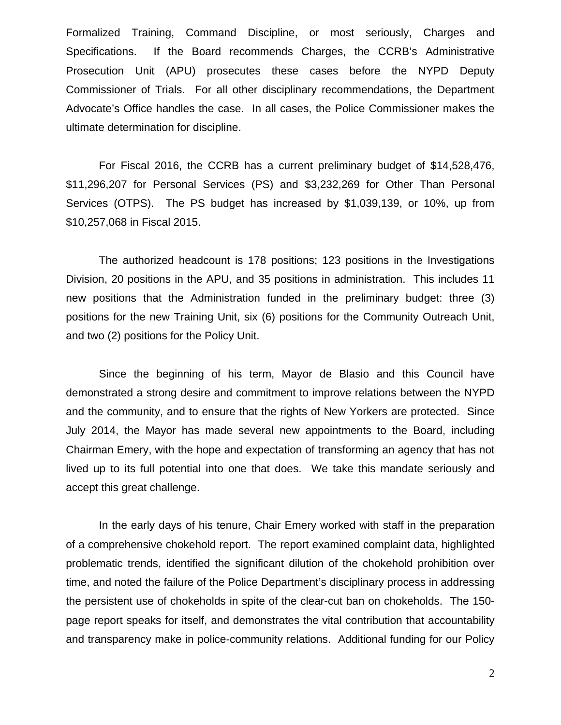Formalized Training, Command Discipline, or most seriously, Charges and Specifications. If the Board recommends Charges, the CCRB's Administrative Prosecution Unit (APU) prosecutes these cases before the NYPD Deputy Commissioner of Trials. For all other disciplinary recommendations, the Department Advocate's Office handles the case. In all cases, the Police Commissioner makes the ultimate determination for discipline.

For Fiscal 2016, the CCRB has a current preliminary budget of \$14,528,476, \$11,296,207 for Personal Services (PS) and \$3,232,269 for Other Than Personal Services (OTPS). The PS budget has increased by \$1,039,139, or 10%, up from \$10,257,068 in Fiscal 2015.

The authorized headcount is 178 positions; 123 positions in the Investigations Division, 20 positions in the APU, and 35 positions in administration. This includes 11 new positions that the Administration funded in the preliminary budget: three (3) positions for the new Training Unit, six (6) positions for the Community Outreach Unit, and two (2) positions for the Policy Unit.

Since the beginning of his term, Mayor de Blasio and this Council have demonstrated a strong desire and commitment to improve relations between the NYPD and the community, and to ensure that the rights of New Yorkers are protected. Since July 2014, the Mayor has made several new appointments to the Board, including Chairman Emery, with the hope and expectation of transforming an agency that has not lived up to its full potential into one that does. We take this mandate seriously and accept this great challenge.

In the early days of his tenure, Chair Emery worked with staff in the preparation of a comprehensive chokehold report. The report examined complaint data, highlighted problematic trends, identified the significant dilution of the chokehold prohibition over time, and noted the failure of the Police Department's disciplinary process in addressing the persistent use of chokeholds in spite of the clear-cut ban on chokeholds. The 150 page report speaks for itself, and demonstrates the vital contribution that accountability and transparency make in police-community relations. Additional funding for our Policy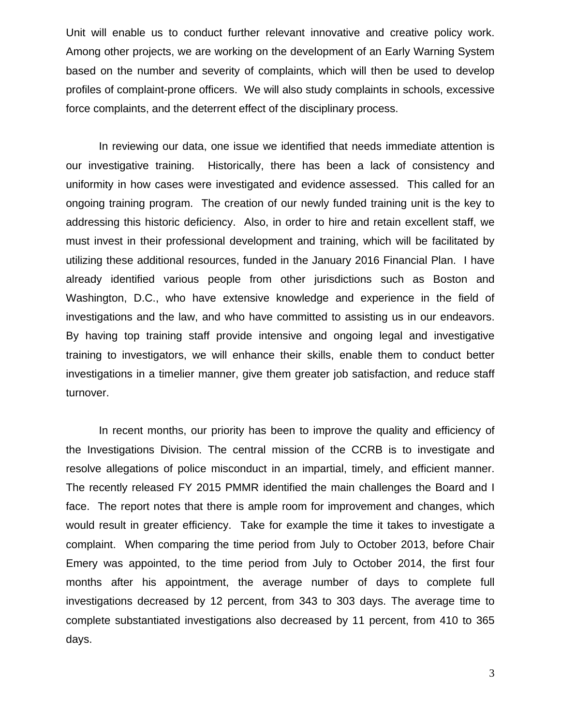Unit will enable us to conduct further relevant innovative and creative policy work. Among other projects, we are working on the development of an Early Warning System based on the number and severity of complaints, which will then be used to develop profiles of complaint-prone officers. We will also study complaints in schools, excessive force complaints, and the deterrent effect of the disciplinary process.

In reviewing our data, one issue we identified that needs immediate attention is our investigative training. Historically, there has been a lack of consistency and uniformity in how cases were investigated and evidence assessed. This called for an ongoing training program. The creation of our newly funded training unit is the key to addressing this historic deficiency. Also, in order to hire and retain excellent staff, we must invest in their professional development and training, which will be facilitated by utilizing these additional resources, funded in the January 2016 Financial Plan. I have already identified various people from other jurisdictions such as Boston and Washington, D.C., who have extensive knowledge and experience in the field of investigations and the law, and who have committed to assisting us in our endeavors. By having top training staff provide intensive and ongoing legal and investigative training to investigators, we will enhance their skills, enable them to conduct better investigations in a timelier manner, give them greater job satisfaction, and reduce staff turnover.

In recent months, our priority has been to improve the quality and efficiency of the Investigations Division. The central mission of the CCRB is to investigate and resolve allegations of police misconduct in an impartial, timely, and efficient manner. The recently released FY 2015 PMMR identified the main challenges the Board and I face. The report notes that there is ample room for improvement and changes, which would result in greater efficiency. Take for example the time it takes to investigate a complaint. When comparing the time period from July to October 2013, before Chair Emery was appointed, to the time period from July to October 2014, the first four months after his appointment, the average number of days to complete full investigations decreased by 12 percent, from 343 to 303 days. The average time to complete substantiated investigations also decreased by 11 percent, from 410 to 365 days.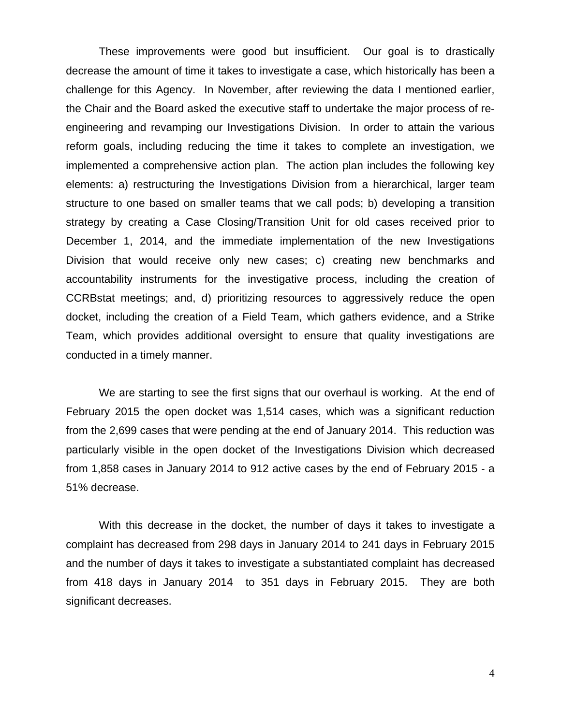These improvements were good but insufficient. Our goal is to drastically decrease the amount of time it takes to investigate a case, which historically has been a challenge for this Agency. In November, after reviewing the data I mentioned earlier, the Chair and the Board asked the executive staff to undertake the major process of reengineering and revamping our Investigations Division. In order to attain the various reform goals, including reducing the time it takes to complete an investigation, we implemented a comprehensive action plan. The action plan includes the following key elements: a) restructuring the Investigations Division from a hierarchical, larger team structure to one based on smaller teams that we call pods; b) developing a transition strategy by creating a Case Closing/Transition Unit for old cases received prior to December 1, 2014, and the immediate implementation of the new Investigations Division that would receive only new cases; c) creating new benchmarks and accountability instruments for the investigative process, including the creation of CCRBstat meetings; and, d) prioritizing resources to aggressively reduce the open docket, including the creation of a Field Team, which gathers evidence, and a Strike Team, which provides additional oversight to ensure that quality investigations are conducted in a timely manner.

We are starting to see the first signs that our overhaul is working. At the end of February 2015 the open docket was 1,514 cases, which was a significant reduction from the 2,699 cases that were pending at the end of January 2014. This reduction was particularly visible in the open docket of the Investigations Division which decreased from 1,858 cases in January 2014 to 912 active cases by the end of February 2015 - a 51% decrease.

With this decrease in the docket, the number of days it takes to investigate a complaint has decreased from 298 days in January 2014 to 241 days in February 2015 and the number of days it takes to investigate a substantiated complaint has decreased from 418 days in January 2014 to 351 days in February 2015. They are both significant decreases.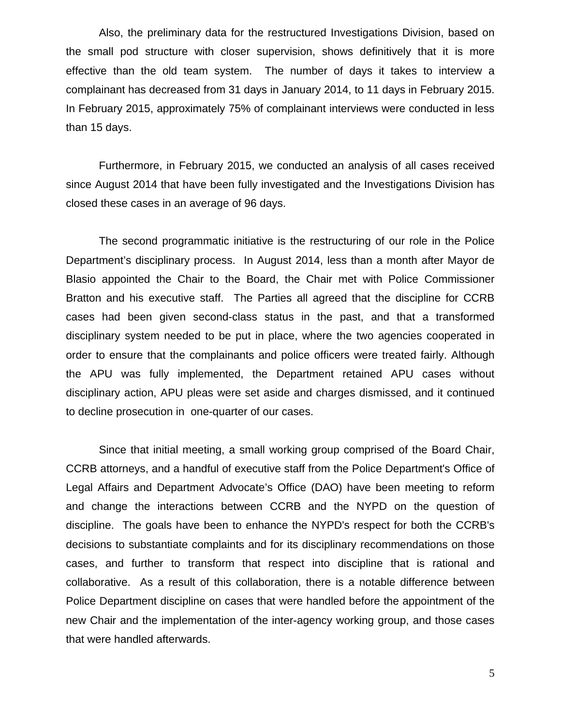Also, the preliminary data for the restructured Investigations Division, based on the small pod structure with closer supervision, shows definitively that it is more effective than the old team system. The number of days it takes to interview a complainant has decreased from 31 days in January 2014, to 11 days in February 2015. In February 2015, approximately 75% of complainant interviews were conducted in less than 15 days.

Furthermore, in February 2015, we conducted an analysis of all cases received since August 2014 that have been fully investigated and the Investigations Division has closed these cases in an average of 96 days.

The second programmatic initiative is the restructuring of our role in the Police Department's disciplinary process. In August 2014, less than a month after Mayor de Blasio appointed the Chair to the Board, the Chair met with Police Commissioner Bratton and his executive staff. The Parties all agreed that the discipline for CCRB cases had been given second-class status in the past, and that a transformed disciplinary system needed to be put in place, where the two agencies cooperated in order to ensure that the complainants and police officers were treated fairly. Although the APU was fully implemented, the Department retained APU cases without disciplinary action, APU pleas were set aside and charges dismissed, and it continued to decline prosecution in one-quarter of our cases.

Since that initial meeting, a small working group comprised of the Board Chair, CCRB attorneys, and a handful of executive staff from the Police Department's Office of Legal Affairs and Department Advocate's Office (DAO) have been meeting to reform and change the interactions between CCRB and the NYPD on the question of discipline. The goals have been to enhance the NYPD's respect for both the CCRB's decisions to substantiate complaints and for its disciplinary recommendations on those cases, and further to transform that respect into discipline that is rational and collaborative. As a result of this collaboration, there is a notable difference between Police Department discipline on cases that were handled before the appointment of the new Chair and the implementation of the inter-agency working group, and those cases that were handled afterwards.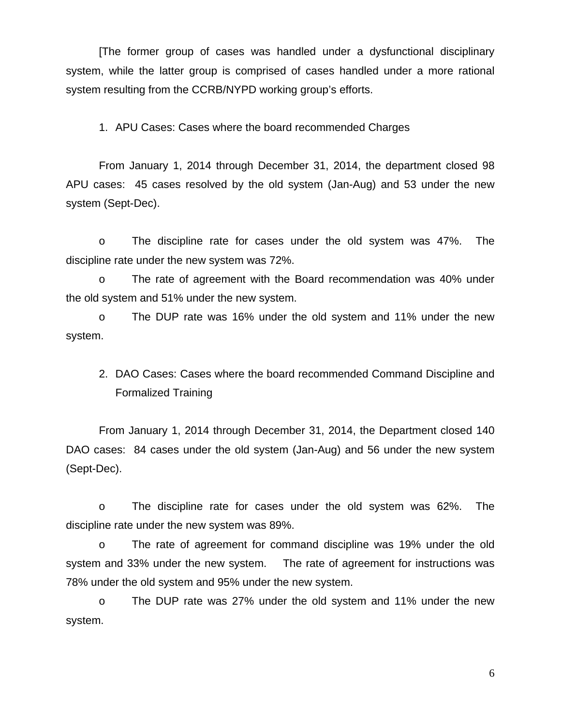[The former group of cases was handled under a dysfunctional disciplinary system, while the latter group is comprised of cases handled under a more rational system resulting from the CCRB/NYPD working group's efforts.

1. APU Cases: Cases where the board recommended Charges

From January 1, 2014 through December 31, 2014, the department closed 98 APU cases: 45 cases resolved by the old system (Jan-Aug) and 53 under the new system (Sept-Dec).

o The discipline rate for cases under the old system was 47%. The discipline rate under the new system was 72%.

o The rate of agreement with the Board recommendation was 40% under the old system and 51% under the new system.

o The DUP rate was 16% under the old system and 11% under the new system.

2. DAO Cases: Cases where the board recommended Command Discipline and Formalized Training

From January 1, 2014 through December 31, 2014, the Department closed 140 DAO cases: 84 cases under the old system (Jan-Aug) and 56 under the new system (Sept-Dec).

o The discipline rate for cases under the old system was 62%. The discipline rate under the new system was 89%.

o The rate of agreement for command discipline was 19% under the old system and 33% under the new system. The rate of agreement for instructions was 78% under the old system and 95% under the new system.

o The DUP rate was 27% under the old system and 11% under the new system.

6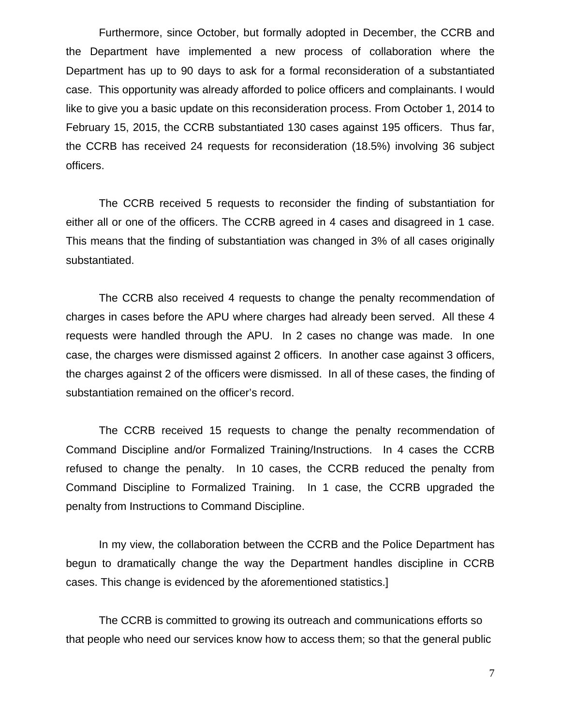Furthermore, since October, but formally adopted in December, the CCRB and the Department have implemented a new process of collaboration where the Department has up to 90 days to ask for a formal reconsideration of a substantiated case. This opportunity was already afforded to police officers and complainants. I would like to give you a basic update on this reconsideration process. From October 1, 2014 to February 15, 2015, the CCRB substantiated 130 cases against 195 officers. Thus far, the CCRB has received 24 requests for reconsideration (18.5%) involving 36 subject officers.

The CCRB received 5 requests to reconsider the finding of substantiation for either all or one of the officers. The CCRB agreed in 4 cases and disagreed in 1 case. This means that the finding of substantiation was changed in 3% of all cases originally substantiated.

The CCRB also received 4 requests to change the penalty recommendation of charges in cases before the APU where charges had already been served. All these 4 requests were handled through the APU. In 2 cases no change was made. In one case, the charges were dismissed against 2 officers. In another case against 3 officers, the charges against 2 of the officers were dismissed. In all of these cases, the finding of substantiation remained on the officer's record.

The CCRB received 15 requests to change the penalty recommendation of Command Discipline and/or Formalized Training/Instructions. In 4 cases the CCRB refused to change the penalty. In 10 cases, the CCRB reduced the penalty from Command Discipline to Formalized Training. In 1 case, the CCRB upgraded the penalty from Instructions to Command Discipline.

In my view, the collaboration between the CCRB and the Police Department has begun to dramatically change the way the Department handles discipline in CCRB cases. This change is evidenced by the aforementioned statistics.]

The CCRB is committed to growing its outreach and communications efforts so that people who need our services know how to access them; so that the general public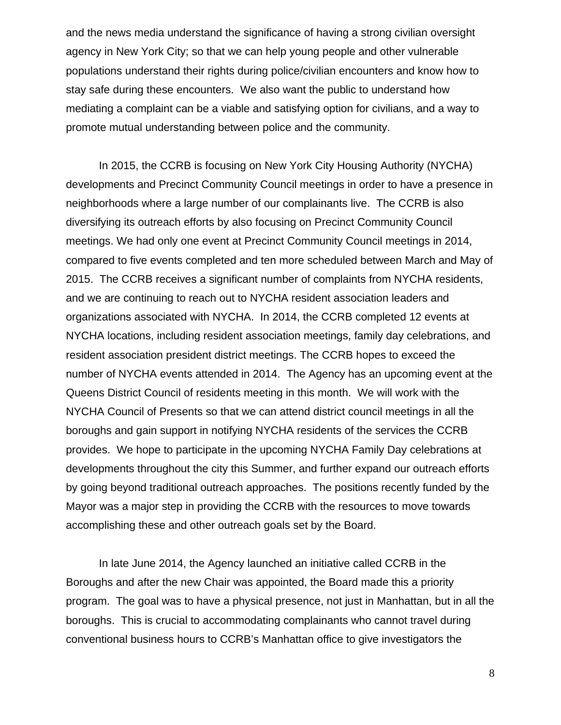and the news media understand the significance of having a strong civilian oversight agency in New York City; so that we can help young people and other vulnerable populations understand their rights during police/civilian encounters and know how to stay safe during these encounters. We also want the public to understand how mediating a complaint can be a viable and satisfying option for civilians, and a way to promote mutual understanding between police and the community.

In 2015, the CCRB is focusing on New York City Housing Authority (NYCHA) developments and Precinct Community Council meetings in order to have a presence in neighborhoods where a large number of our complainants live. The CCRB is also diversifying its outreach efforts by also focusing on Precinct Community Council meetings. We had only one event at Precinct Community Council meetings in 2014, compared to five events completed and ten more scheduled between March and May of 2015. The CCRB receives a significant number of complaints from NYCHA residents, and we are continuing to reach out to NYCHA resident association leaders and organizations associated with NYCHA. In 2014, the CCRB completed 12 events at NYCHA locations, including resident association meetings, family day celebrations, and resident association president district meetings. The CCRB hopes to exceed the number of NYCHA events attended in 2014. The Agency has an upcoming event at the Queens District Council of residents meeting in this month. We will work with the NYCHA Council of Presents so that we can attend district council meetings in all the boroughs and gain support in notifying NYCHA residents of the services the CCRB provides. We hope to participate in the upcoming NYCHA Family Day celebrations at developments throughout the city this Summer, and further expand our outreach efforts by going beyond traditional outreach approaches. The positions recently funded by the Mayor was a major step in providing the CCRB with the resources to move towards accomplishing these and other outreach goals set by the Board.

In late June 2014, the Agency launched an initiative called CCRB in the Boroughs and after the new Chair was appointed, the Board made this a priority program. The goal was to have a physical presence, not just in Manhattan, but in all the boroughs. This is crucial to accommodating complainants who cannot travel during conventional business hours to CCRB's Manhattan office to give investigators the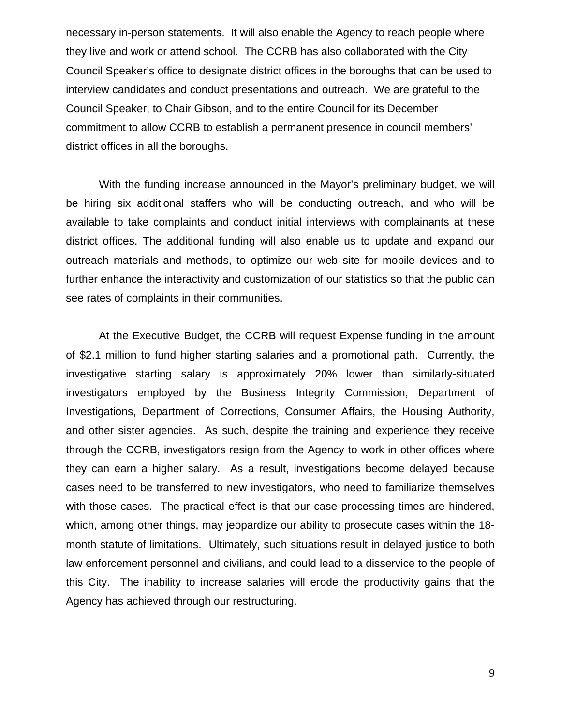necessary in-person statements. It will also enable the Agency to reach people where they live and work or attend school. The CCRB has also collaborated with the City Council Speaker's office to designate district offices in the boroughs that can be used to interview candidates and conduct presentations and outreach. We are grateful to the Council Speaker, to Chair Gibson, and to the entire Council for its December commitment to allow CCRB to establish a permanent presence in council members' district offices in all the boroughs.

With the funding increase announced in the Mayor's preliminary budget, we will be hiring six additional staffers who will be conducting outreach, and who will be available to take complaints and conduct initial interviews with complainants at these district offices. The additional funding will also enable us to update and expand our outreach materials and methods, to optimize our web site for mobile devices and to further enhance the interactivity and customization of our statistics so that the public can see rates of complaints in their communities.

At the Executive Budget, the CCRB will request Expense funding in the amount of \$2.1 million to fund higher starting salaries and a promotional path. Currently, the investigative starting salary is approximately 20% lower than similarly-situated investigators employed by the Business Integrity Commission, Department of Investigations, Department of Corrections, Consumer Affairs, the Housing Authority, and other sister agencies. As such, despite the training and experience they receive through the CCRB, investigators resign from the Agency to work in other offices where they can earn a higher salary. As a result, investigations become delayed because cases need to be transferred to new investigators, who need to familiarize themselves with those cases. The practical effect is that our case processing times are hindered, which, among other things, may jeopardize our ability to prosecute cases within the 18 month statute of limitations. Ultimately, such situations result in delayed justice to both law enforcement personnel and civilians, and could lead to a disservice to the people of this City. The inability to increase salaries will erode the productivity gains that the Agency has achieved through our restructuring.